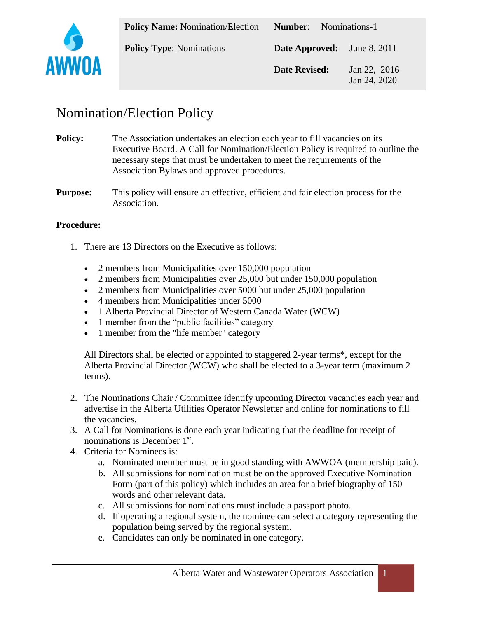**Policy Type:** Nominations **Date Approved:** June 8, 2011

**Date Revised:** Jan 22, 2016 Jan 24, 2020

## Nomination/Election Policy

**Policy:** The Association undertakes an election each year to fill vacancies on its Executive Board. A Call for Nomination/Election Policy is required to outline the necessary steps that must be undertaken to meet the requirements of the Association Bylaws and approved procedures.

**Purpose:** This policy will ensure an effective, efficient and fair election process for the Association.

## **Procedure:**

- 1. There are 13 Directors on the Executive as follows:
	- 2 members from Municipalities over 150,000 population
	- 2 members from Municipalities over 25,000 but under 150,000 population
	- 2 members from Municipalities over 5000 but under 25,000 population
	- 4 members from Municipalities under 5000
	- 1 Alberta Provincial Director of Western Canada Water (WCW)
	- 1 member from the "public facilities" category
	- 1 member from the "life member" category

All Directors shall be elected or appointed to staggered 2-year terms\*, except for the Alberta Provincial Director (WCW) who shall be elected to a 3-year term (maximum 2 terms).

- 2. The Nominations Chair / Committee identify upcoming Director vacancies each year and advertise in the Alberta Utilities Operator Newsletter and online for nominations to fill the vacancies.
- 3. A Call for Nominations is done each year indicating that the deadline for receipt of nominations is December 1<sup>st</sup>.
- 4. Criteria for Nominees is:
	- a. Nominated member must be in good standing with AWWOA (membership paid).
	- b. All submissions for nomination must be on the approved Executive Nomination Form (part of this policy) which includes an area for a brief biography of 150 words and other relevant data.
	- c. All submissions for nominations must include a passport photo.
	- d. If operating a regional system, the nominee can select a category representing the population being served by the regional system.
	- e. Candidates can only be nominated in one category.